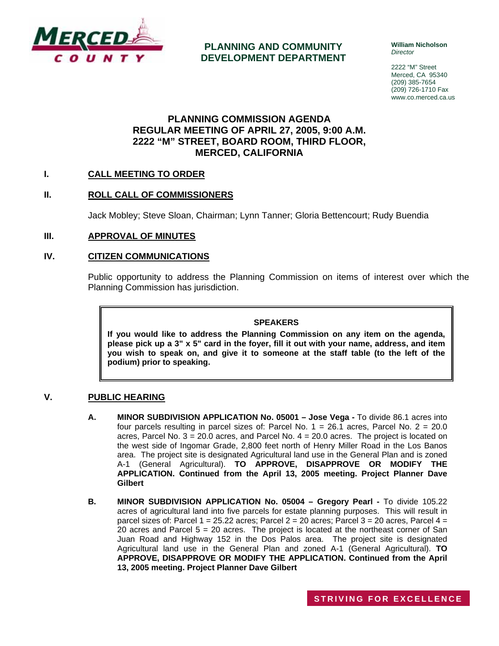

**PLANNING AND COMMUNITY DEVELOPMENT DEPARTMENT** **William Nicholson**  *Director* 

2222 "M" Street Merced, CA 95340 (209) 385-7654 (209) 726-1710 Fax www.co.merced.ca.us

## **PLANNING COMMISSION AGENDA REGULAR MEETING OF APRIL 27, 2005, 9:00 A.M. 2222 "M" STREET, BOARD ROOM, THIRD FLOOR, MERCED, CALIFORNIA**

## **I. CALL MEETING TO ORDER**

## **II. ROLL CALL OF COMMISSIONERS**

Jack Mobley; Steve Sloan, Chairman; Lynn Tanner; Gloria Bettencourt; Rudy Buendia

#### **III. APPROVAL OF MINUTES**

#### **IV. CITIZEN COMMUNICATIONS**

Public opportunity to address the Planning Commission on items of interest over which the Planning Commission has jurisdiction.

#### **SPEAKERS**

**If you would like to address the Planning Commission on any item on the agenda, please pick up a 3" x 5" card in the foyer, fill it out with your name, address, and item you wish to speak on, and give it to someone at the staff table (to the left of the podium) prior to speaking.**

#### **V. PUBLIC HEARING**

- **A. MINOR SUBDIVISION APPLICATION No. 05001 Jose Vega** To divide 86.1 acres into four parcels resulting in parcel sizes of: Parcel No. 1 = 26.1 acres, Parcel No. 2 = 20.0 acres, Parcel No.  $3 = 20.0$  acres, and Parcel No.  $4 = 20.0$  acres. The project is located on the west side of Ingomar Grade, 2,800 feet north of Henry Miller Road in the Los Banos area. The project site is designated Agricultural land use in the General Plan and is zoned A-1 (General Agricultural). **TO APPROVE, DISAPPROVE OR MODIFY THE APPLICATION. Continued from the April 13, 2005 meeting. Project Planner Dave Gilbert**
- **B. MINOR SUBDIVISION APPLICATION No. 05004 Gregory Pearl To divide 105.22** acres of agricultural land into five parcels for estate planning purposes. This will result in parcel sizes of: Parcel  $1 = 25.22$  acres; Parcel  $2 = 20$  acres; Parcel  $3 = 20$  acres, Parcel  $4 =$ 20 acres and Parcel  $5 = 20$  acres. The project is located at the northeast corner of San Juan Road and Highway 152 in the Dos Palos area. The project site is designated Agricultural land use in the General Plan and zoned A-1 (General Agricultural). **TO APPROVE, DISAPPROVE OR MODIFY THE APPLICATION. Continued from the April 13, 2005 meeting. Project Planner Dave Gilbert**

**STRIVING FOR E X CELLENCE**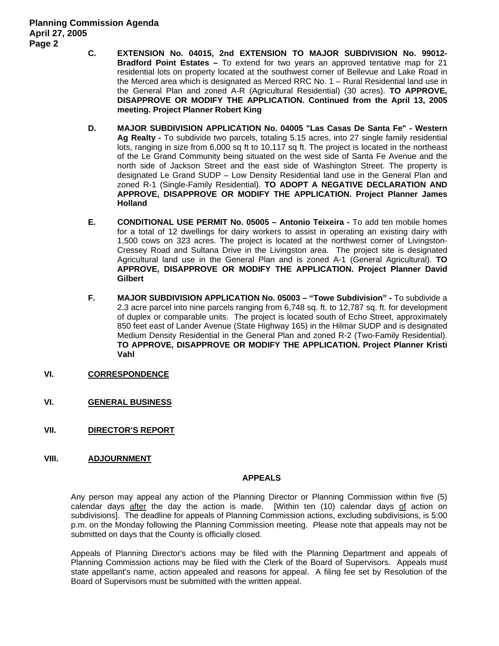- **C. EXTENSION No. 04015, 2nd EXTENSION TO MAJOR SUBDIVISION No. 99012- Bradford Point Estates –** To extend for two years an approved tentative map for 21 residential lots on property located at the southwest corner of Bellevue and Lake Road in the Merced area which is designated as Merced RRC No. 1 – Rural Residential land use in the General Plan and zoned A-R (Agricultural Residential) (30 acres). **TO APPROVE, DISAPPROVE OR MODIFY THE APPLICATION. Continued from the April 13, 2005 meeting. Project Planner Robert King**
- **D. MAJOR SUBDIVISION APPLICATION No. 04005 "Las Casas De Santa Fe" Western Ag Realty -** To subdivide two parcels, totaling 5.15 acres, into 27 single family residential lots, ranging in size from 6,000 sq ft to 10,117 sq ft. The project is located in the northeast of the Le Grand Community being situated on the west side of Santa Fe Avenue and the north side of Jackson Street and the east side of Washington Street. The property is designated Le Grand SUDP – Low Density Residential land use in the General Plan and zoned R-1 (Single-Family Residential). **TO ADOPT A NEGATIVE DECLARATION AND APPROVE, DISAPPROVE OR MODIFY THE APPLICATION. Project Planner James Holland**
- **E. CONDITIONAL USE PERMIT No. 05005 Antonio Teixeira** To add ten mobile homes for a total of 12 dwellings for dairy workers to assist in operating an existing dairy with 1,500 cows on 323 acres. The project is located at the northwest corner of Livingston-Cressey Road and Sultana Drive in the Livingston area. The project site is designated Agricultural land use in the General Plan and is zoned A-1 (General Agricultural). **TO APPROVE, DISAPPROVE OR MODIFY THE APPLICATION. Project Planner David Gilbert**
- **F. MAJOR SUBDIVISION APPLICATION No. 05003 "Towe Subdivision"** To subdivide a 2.3 acre parcel into nine parcels ranging from 6,748 sq. ft. to 12,787 sq. ft. for development of duplex or comparable units. The project is located south of Echo Street, approximately 850 feet east of Lander Avenue (State Highway 165) in the Hilmar SUDP and is designated Medium Density Residential in the General Plan and zoned R-2 (Two-Family Residential). **TO APPROVE, DISAPPROVE OR MODIFY THE APPLICATION. Project Planner Kristi Vahl**
- **VI. CORRESPONDENCE**
- **VI. GENERAL BUSINESS**
- **VII. DIRECTOR'S REPORT**
- **VIII. ADJOURNMENT**

#### **APPEALS**

Any person may appeal any action of the Planning Director or Planning Commission within five (5) calendar days after the day the action is made. [Within ten (10) calendar days of action on subdivisions]. The deadline for appeals of Planning Commission actions, excluding subdivisions, is 5:00 p.m. on the Monday following the Planning Commission meeting. Please note that appeals may not be submitted on days that the County is officially closed.

Appeals of Planning Director's actions may be filed with the Planning Department and appeals of Planning Commission actions may be filed with the Clerk of the Board of Supervisors. Appeals must state appellant's name, action appealed and reasons for appeal. A filing fee set by Resolution of the Board of Supervisors must be submitted with the written appeal.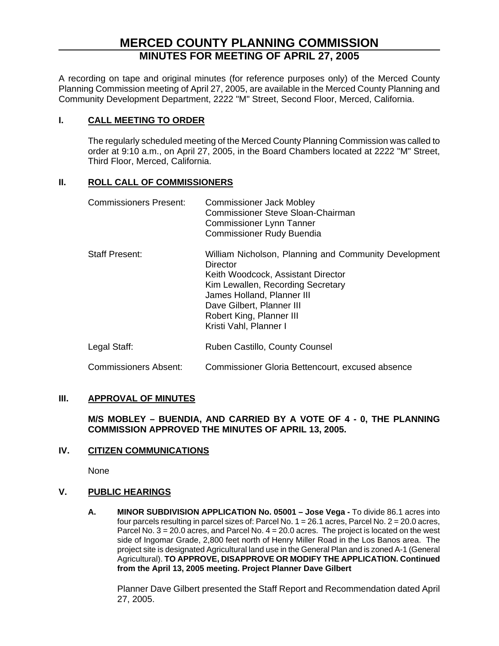# **MERCED COUNTY PLANNING COMMISSION MINUTES FOR MEETING OF APRIL 27, 2005**

A recording on tape and original minutes (for reference purposes only) of the Merced County Planning Commission meeting of April 27, 2005, are available in the Merced County Planning and Community Development Department, 2222 "M" Street, Second Floor, Merced, California.

## **I. CALL MEETING TO ORDER**

The regularly scheduled meeting of the Merced County Planning Commission was called to order at 9:10 a.m., on April 27, 2005, in the Board Chambers located at 2222 "M" Street, Third Floor, Merced, California.

## **II. ROLL CALL OF COMMISSIONERS**

| <b>Commissioners Present:</b> | <b>Commissioner Jack Mobley</b><br><b>Commissioner Steve Sloan-Chairman</b><br><b>Commissioner Lynn Tanner</b><br><b>Commissioner Rudy Buendia</b>                                                                                                            |
|-------------------------------|---------------------------------------------------------------------------------------------------------------------------------------------------------------------------------------------------------------------------------------------------------------|
| <b>Staff Present:</b>         | William Nicholson, Planning and Community Development<br>Director<br>Keith Woodcock, Assistant Director<br>Kim Lewallen, Recording Secretary<br>James Holland, Planner III<br>Dave Gilbert, Planner III<br>Robert King, Planner III<br>Kristi Vahl, Planner I |
| Legal Staff:                  | Ruben Castillo, County Counsel                                                                                                                                                                                                                                |
| <b>Commissioners Absent:</b>  | Commissioner Gloria Bettencourt, excused absence                                                                                                                                                                                                              |

#### **III. APPROVAL OF MINUTES**

**M/S MOBLEY – BUENDIA, AND CARRIED BY A VOTE OF 4 - 0, THE PLANNING COMMISSION APPROVED THE MINUTES OF APRIL 13, 2005.**

## **IV. CITIZEN COMMUNICATIONS**

None

## **V. PUBLIC HEARINGS**

**A. MINOR SUBDIVISION APPLICATION No. 05001 – Jose Vega -** To divide 86.1 acres into four parcels resulting in parcel sizes of: Parcel No. 1 = 26.1 acres, Parcel No. 2 = 20.0 acres, Parcel No. 3 = 20.0 acres, and Parcel No. 4 = 20.0 acres. The project is located on the west side of Ingomar Grade, 2,800 feet north of Henry Miller Road in the Los Banos area. The project site is designated Agricultural land use in the General Plan and is zoned A-1 (General Agricultural). **TO APPROVE, DISAPPROVE OR MODIFY THE APPLICATION. Continued from the April 13, 2005 meeting. Project Planner Dave Gilbert** 

Planner Dave Gilbert presented the Staff Report and Recommendation dated April 27, 2005.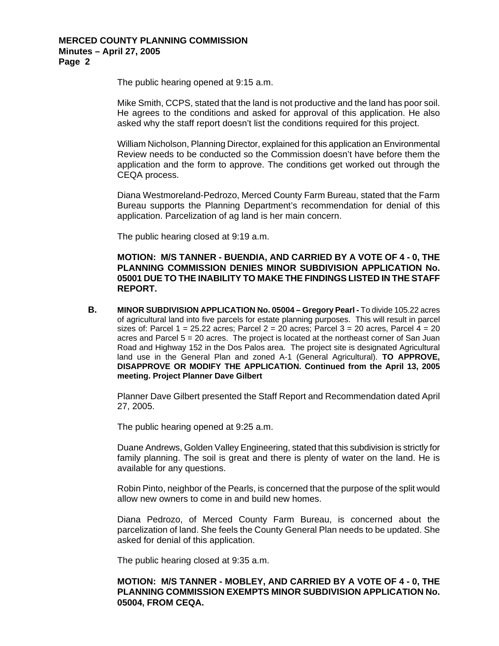The public hearing opened at 9:15 a.m.

Mike Smith, CCPS, stated that the land is not productive and the land has poor soil. He agrees to the conditions and asked for approval of this application. He also asked why the staff report doesn't list the conditions required for this project.

William Nicholson, Planning Director, explained for this application an Environmental Review needs to be conducted so the Commission doesn't have before them the application and the form to approve. The conditions get worked out through the CEQA process.

Diana Westmoreland-Pedrozo, Merced County Farm Bureau, stated that the Farm Bureau supports the Planning Department's recommendation for denial of this application. Parcelization of ag land is her main concern.

The public hearing closed at 9:19 a.m.

**MOTION: M/S TANNER - BUENDIA, AND CARRIED BY A VOTE OF 4 - 0, THE PLANNING COMMISSION DENIES MINOR SUBDIVISION APPLICATION No. 05001 DUE TO THE INABILITY TO MAKE THE FINDINGS LISTED IN THE STAFF REPORT.**

**B. MINOR SUBDIVISION APPLICATION No. 05004 – Gregory Pearl - To divide 105.22 acres** of agricultural land into five parcels for estate planning purposes. This will result in parcel sizes of: Parcel 1 = 25.22 acres; Parcel 2 = 20 acres; Parcel 3 = 20 acres, Parcel  $4 = 20$ acres and Parcel  $5 = 20$  acres. The project is located at the northeast corner of San Juan Road and Highway 152 in the Dos Palos area. The project site is designated Agricultural land use in the General Plan and zoned A-1 (General Agricultural). **TO APPROVE, DISAPPROVE OR MODIFY THE APPLICATION. Continued from the April 13, 2005 meeting. Project Planner Dave Gilbert**

Planner Dave Gilbert presented the Staff Report and Recommendation dated April 27, 2005.

The public hearing opened at 9:25 a.m.

Duane Andrews, Golden Valley Engineering, stated that this subdivision is strictly for family planning. The soil is great and there is plenty of water on the land. He is available for any questions.

Robin Pinto, neighbor of the Pearls, is concerned that the purpose of the split would allow new owners to come in and build new homes.

Diana Pedrozo, of Merced County Farm Bureau, is concerned about the parcelization of land. She feels the County General Plan needs to be updated. She asked for denial of this application.

The public hearing closed at 9:35 a.m.

#### **MOTION: M/S TANNER - MOBLEY, AND CARRIED BY A VOTE OF 4 - 0, THE PLANNING COMMISSION EXEMPTS MINOR SUBDIVISION APPLICATION No. 05004, FROM CEQA.**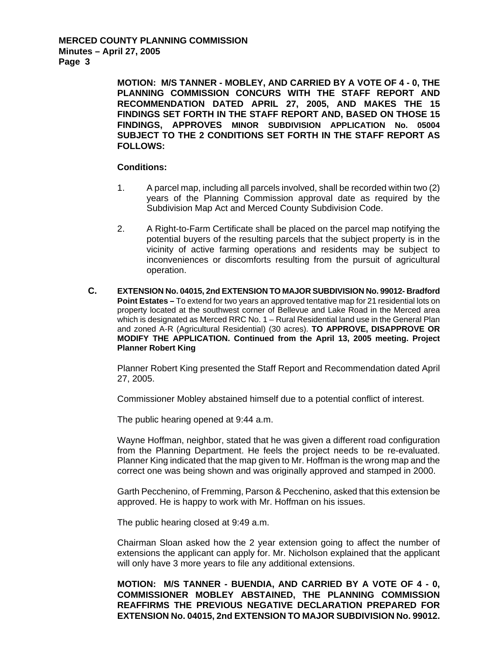> **MOTION: M/S TANNER - MOBLEY, AND CARRIED BY A VOTE OF 4 - 0, THE PLANNING COMMISSION CONCURS WITH THE STAFF REPORT AND RECOMMENDATION DATED APRIL 27, 2005, AND MAKES THE 15 FINDINGS SET FORTH IN THE STAFF REPORT AND, BASED ON THOSE 15 FINDINGS, APPROVES MINOR SUBDIVISION APPLICATION No. 05004 SUBJECT TO THE 2 CONDITIONS SET FORTH IN THE STAFF REPORT AS FOLLOWS:**

#### **Conditions:**

- 1. A parcel map, including all parcels involved, shall be recorded within two (2) years of the Planning Commission approval date as required by the Subdivision Map Act and Merced County Subdivision Code.
- 2. A Right-to-Farm Certificate shall be placed on the parcel map notifying the potential buyers of the resulting parcels that the subject property is in the vicinity of active farming operations and residents may be subject to inconveniences or discomforts resulting from the pursuit of agricultural operation.
- **C. EXTENSION No. 04015, 2nd EXTENSION TO MAJOR SUBDIVISION No. 99012- Bradford Point Estates –** To extend for two years an approved tentative map for 21 residential lots on property located at the southwest corner of Bellevue and Lake Road in the Merced area which is designated as Merced RRC No. 1 – Rural Residential land use in the General Plan and zoned A-R (Agricultural Residential) (30 acres). **TO APPROVE, DISAPPROVE OR MODIFY THE APPLICATION. Continued from the April 13, 2005 meeting. Project Planner Robert King**

Planner Robert King presented the Staff Report and Recommendation dated April 27, 2005.

Commissioner Mobley abstained himself due to a potential conflict of interest.

The public hearing opened at 9:44 a.m.

Wayne Hoffman, neighbor, stated that he was given a different road configuration from the Planning Department. He feels the project needs to be re-evaluated. Planner King indicated that the map given to Mr. Hoffman is the wrong map and the correct one was being shown and was originally approved and stamped in 2000.

Garth Pecchenino, of Fremming, Parson & Pecchenino, asked that this extension be approved. He is happy to work with Mr. Hoffman on his issues.

The public hearing closed at 9:49 a.m.

Chairman Sloan asked how the 2 year extension going to affect the number of extensions the applicant can apply for. Mr. Nicholson explained that the applicant will only have 3 more years to file any additional extensions.

**MOTION: M/S TANNER - BUENDIA, AND CARRIED BY A VOTE OF 4 - 0, COMMISSIONER MOBLEY ABSTAINED, THE PLANNING COMMISSION REAFFIRMS THE PREVIOUS NEGATIVE DECLARATION PREPARED FOR EXTENSION No. 04015, 2nd EXTENSION TO MAJOR SUBDIVISION No. 99012.**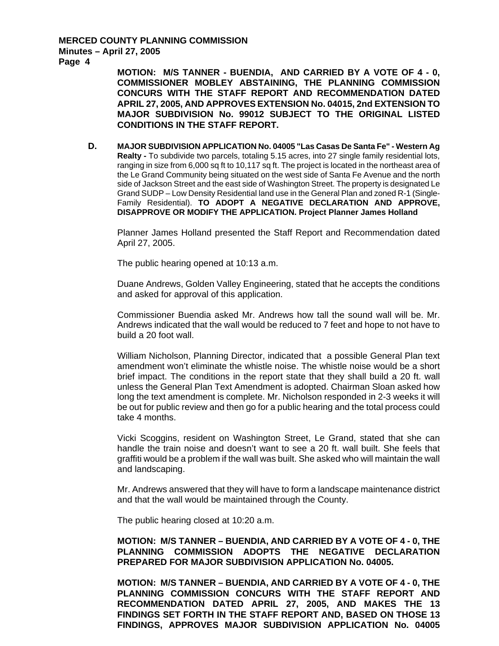**MOTION: M/S TANNER - BUENDIA, AND CARRIED BY A VOTE OF 4 - 0, COMMISSIONER MOBLEY ABSTAINING, THE PLANNING COMMISSION CONCURS WITH THE STAFF REPORT AND RECOMMENDATION DATED APRIL 27, 2005, AND APPROVES EXTENSION No. 04015, 2nd EXTENSION TO MAJOR SUBDIVISION No. 99012 SUBJECT TO THE ORIGINAL LISTED CONDITIONS IN THE STAFF REPORT.** 

**D. MAJOR SUBDIVISION APPLICATION No. 04005 "Las Casas De Santa Fe" - Western Ag Realty -** To subdivide two parcels, totaling 5.15 acres, into 27 single family residential lots, ranging in size from 6,000 sq ft to 10,117 sq ft. The project is located in the northeast area of the Le Grand Community being situated on the west side of Santa Fe Avenue and the north side of Jackson Street and the east side of Washington Street. The property is designated Le Grand SUDP – Low Density Residential land use in the General Plan and zoned R-1 (Single-Family Residential). **TO ADOPT A NEGATIVE DECLARATION AND APPROVE, DISAPPROVE OR MODIFY THE APPLICATION. Project Planner James Holland**

Planner James Holland presented the Staff Report and Recommendation dated April 27, 2005.

The public hearing opened at 10:13 a.m.

Duane Andrews, Golden Valley Engineering, stated that he accepts the conditions and asked for approval of this application.

Commissioner Buendia asked Mr. Andrews how tall the sound wall will be. Mr. Andrews indicated that the wall would be reduced to 7 feet and hope to not have to build a 20 foot wall.

William Nicholson, Planning Director, indicated that a possible General Plan text amendment won't eliminate the whistle noise. The whistle noise would be a short brief impact. The conditions in the report state that they shall build a 20 ft. wall unless the General Plan Text Amendment is adopted. Chairman Sloan asked how long the text amendment is complete. Mr. Nicholson responded in 2-3 weeks it will be out for public review and then go for a public hearing and the total process could take 4 months.

Vicki Scoggins, resident on Washington Street, Le Grand, stated that she can handle the train noise and doesn't want to see a 20 ft. wall built. She feels that graffiti would be a problem if the wall was built. She asked who will maintain the wall and landscaping.

Mr. Andrews answered that they will have to form a landscape maintenance district and that the wall would be maintained through the County.

The public hearing closed at 10:20 a.m.

**MOTION: M/S TANNER – BUENDIA, AND CARRIED BY A VOTE OF 4 - 0, THE PLANNING COMMISSION ADOPTS THE NEGATIVE DECLARATION PREPARED FOR MAJOR SUBDIVISION APPLICATION No. 04005.** 

**MOTION: M/S TANNER – BUENDIA, AND CARRIED BY A VOTE OF 4 - 0, THE PLANNING COMMISSION CONCURS WITH THE STAFF REPORT AND RECOMMENDATION DATED APRIL 27, 2005, AND MAKES THE 13 FINDINGS SET FORTH IN THE STAFF REPORT AND, BASED ON THOSE 13 FINDINGS, APPROVES MAJOR SUBDIVISION APPLICATION No. 04005**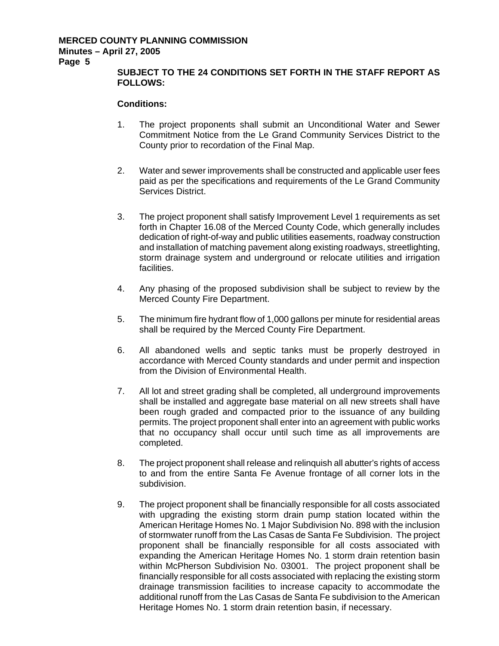## **SUBJECT TO THE 24 CONDITIONS SET FORTH IN THE STAFF REPORT AS FOLLOWS:**

## **Conditions:**

- 1. The project proponents shall submit an Unconditional Water and Sewer Commitment Notice from the Le Grand Community Services District to the County prior to recordation of the Final Map.
- 2. Water and sewer improvements shall be constructed and applicable user fees paid as per the specifications and requirements of the Le Grand Community Services District.
- 3. The project proponent shall satisfy Improvement Level 1 requirements as set forth in Chapter 16.08 of the Merced County Code, which generally includes dedication of right-of-way and public utilities easements, roadway construction and installation of matching pavement along existing roadways, streetlighting, storm drainage system and underground or relocate utilities and irrigation facilities.
- 4. Any phasing of the proposed subdivision shall be subject to review by the Merced County Fire Department.
- 5. The minimum fire hydrant flow of 1,000 gallons per minute for residential areas shall be required by the Merced County Fire Department.
- 6. All abandoned wells and septic tanks must be properly destroyed in accordance with Merced County standards and under permit and inspection from the Division of Environmental Health.
- 7. All lot and street grading shall be completed, all underground improvements shall be installed and aggregate base material on all new streets shall have been rough graded and compacted prior to the issuance of any building permits. The project proponent shall enter into an agreement with public works that no occupancy shall occur until such time as all improvements are completed.
- 8. The project proponent shall release and relinquish all abutter's rights of access to and from the entire Santa Fe Avenue frontage of all corner lots in the subdivision.
- 9. The project proponent shall be financially responsible for all costs associated with upgrading the existing storm drain pump station located within the American Heritage Homes No. 1 Major Subdivision No. 898 with the inclusion of stormwater runoff from the Las Casas de Santa Fe Subdivision. The project proponent shall be financially responsible for all costs associated with expanding the American Heritage Homes No. 1 storm drain retention basin within McPherson Subdivision No. 03001. The project proponent shall be financially responsible for all costs associated with replacing the existing storm drainage transmission facilities to increase capacity to accommodate the additional runoff from the Las Casas de Santa Fe subdivision to the American Heritage Homes No. 1 storm drain retention basin, if necessary.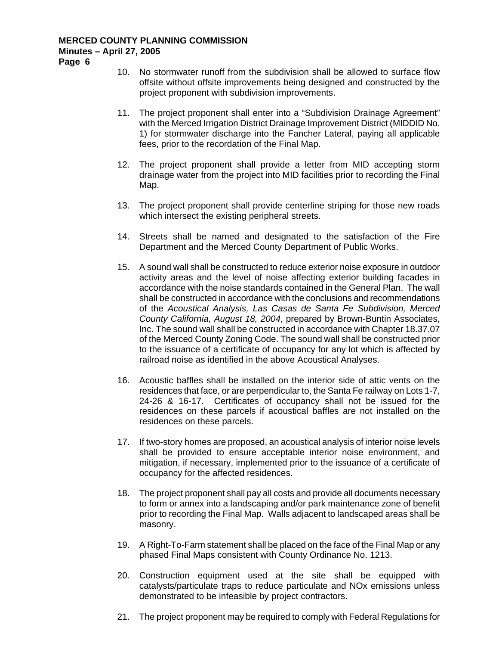- **Page 6**
- 10. No stormwater runoff from the subdivision shall be allowed to surface flow offsite without offsite improvements being designed and constructed by the project proponent with subdivision improvements.
- 11. The project proponent shall enter into a "Subdivision Drainage Agreement" with the Merced Irrigation District Drainage Improvement District (MIDDID No. 1) for stormwater discharge into the Fancher Lateral, paying all applicable fees, prior to the recordation of the Final Map.
- 12. The project proponent shall provide a letter from MID accepting storm drainage water from the project into MID facilities prior to recording the Final Map.
- 13. The project proponent shall provide centerline striping for those new roads which intersect the existing peripheral streets.
- 14. Streets shall be named and designated to the satisfaction of the Fire Department and the Merced County Department of Public Works.
- 15. A sound wall shall be constructed to reduce exterior noise exposure in outdoor activity areas and the level of noise affecting exterior building facades in accordance with the noise standards contained in the General Plan. The wall shall be constructed in accordance with the conclusions and recommendations of the *Acoustical Analysis, Las Casas de Santa Fe Subdivision, Merced County California, August 18, 2004*, prepared by Brown-Buntin Associates, Inc. The sound wall shall be constructed in accordance with Chapter 18.37.07 of the Merced County Zoning Code. The sound wall shall be constructed prior to the issuance of a certificate of occupancy for any lot which is affected by railroad noise as identified in the above Acoustical Analyses.
- 16. Acoustic baffles shall be installed on the interior side of attic vents on the residences that face, or are perpendicular to, the Santa Fe railway on Lots 1-7, 24-26 & 16-17. Certificates of occupancy shall not be issued for the residences on these parcels if acoustical baffles are not installed on the residences on these parcels.
- 17. If two-story homes are proposed, an acoustical analysis of interior noise levels shall be provided to ensure acceptable interior noise environment, and mitigation, if necessary, implemented prior to the issuance of a certificate of occupancy for the affected residences.
- 18. The project proponent shall pay all costs and provide all documents necessary to form or annex into a landscaping and/or park maintenance zone of benefit prior to recording the Final Map. Walls adjacent to landscaped areas shall be masonry.
- 19. A Right-To-Farm statement shall be placed on the face of the Final Map or any phased Final Maps consistent with County Ordinance No. 1213.
- 20. Construction equipment used at the site shall be equipped with catalysts/particulate traps to reduce particulate and NOx emissions unless demonstrated to be infeasible by project contractors.
- 21. The project proponent may be required to comply with Federal Regulations for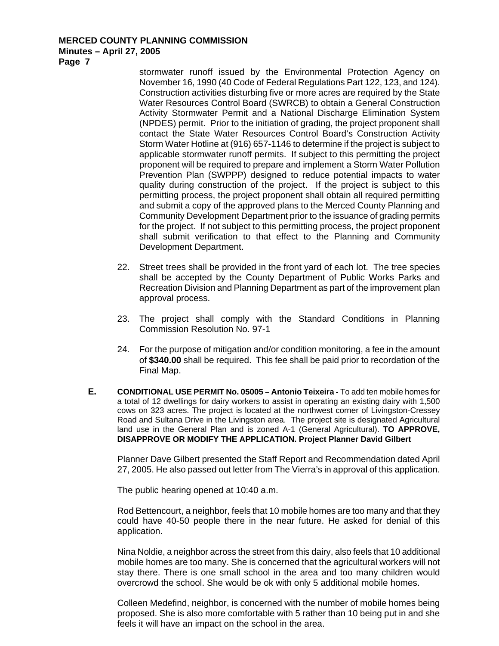**Page 7** 

stormwater runoff issued by the Environmental Protection Agency on November 16, 1990 (40 Code of Federal Regulations Part 122, 123, and 124). Construction activities disturbing five or more acres are required by the State Water Resources Control Board (SWRCB) to obtain a General Construction Activity Stormwater Permit and a National Discharge Elimination System (NPDES) permit. Prior to the initiation of grading, the project proponent shall contact the State Water Resources Control Board's Construction Activity Storm Water Hotline at (916) 657-1146 to determine if the project is subject to applicable stormwater runoff permits. If subject to this permitting the project proponent will be required to prepare and implement a Storm Water Pollution Prevention Plan (SWPPP) designed to reduce potential impacts to water quality during construction of the project. If the project is subject to this permitting process, the project proponent shall obtain all required permitting and submit a copy of the approved plans to the Merced County Planning and Community Development Department prior to the issuance of grading permits for the project. If not subject to this permitting process, the project proponent shall submit verification to that effect to the Planning and Community Development Department.

- 22. Street trees shall be provided in the front yard of each lot. The tree species shall be accepted by the County Department of Public Works Parks and Recreation Division and Planning Department as part of the improvement plan approval process.
- 23. The project shall comply with the Standard Conditions in Planning Commission Resolution No. 97-1
- 24. For the purpose of mitigation and/or condition monitoring, a fee in the amount of **\$340.00** shall be required. This fee shall be paid prior to recordation of the Final Map.
- **E. CONDITIONAL USE PERMIT No. 05005 Antonio Teixeira** To add ten mobile homes for a total of 12 dwellings for dairy workers to assist in operating an existing dairy with 1,500 cows on 323 acres. The project is located at the northwest corner of Livingston-Cressey Road and Sultana Drive in the Livingston area. The project site is designated Agricultural land use in the General Plan and is zoned A-1 (General Agricultural). **TO APPROVE, DISAPPROVE OR MODIFY THE APPLICATION. Project Planner David Gilbert**

Planner Dave Gilbert presented the Staff Report and Recommendation dated April 27, 2005. He also passed out letter from The Vierra's in approval of this application.

The public hearing opened at 10:40 a.m.

Rod Bettencourt, a neighbor, feels that 10 mobile homes are too many and that they could have 40-50 people there in the near future. He asked for denial of this application.

Nina Noldie, a neighbor across the street from this dairy, also feels that 10 additional mobile homes are too many. She is concerned that the agricultural workers will not stay there. There is one small school in the area and too many children would overcrowd the school. She would be ok with only 5 additional mobile homes.

Colleen Medefind, neighbor, is concerned with the number of mobile homes being proposed. She is also more comfortable with 5 rather than 10 being put in and she feels it will have an impact on the school in the area.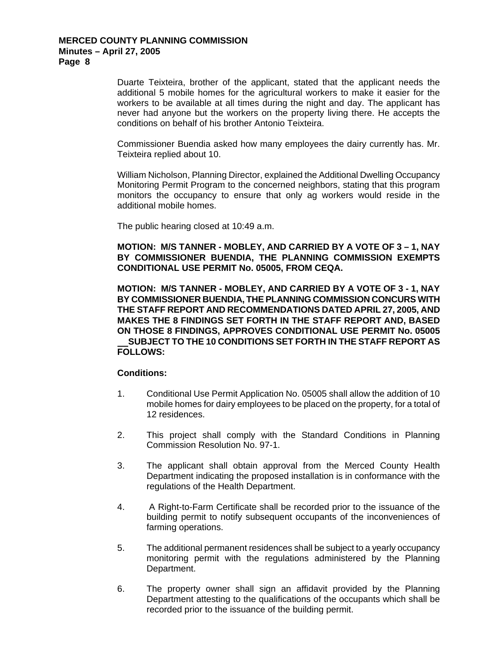Duarte Teixteira, brother of the applicant, stated that the applicant needs the additional 5 mobile homes for the agricultural workers to make it easier for the workers to be available at all times during the night and day. The applicant has never had anyone but the workers on the property living there. He accepts the conditions on behalf of his brother Antonio Teixteira.

Commissioner Buendia asked how many employees the dairy currently has. Mr. Teixteira replied about 10.

William Nicholson, Planning Director, explained the Additional Dwelling Occupancy Monitoring Permit Program to the concerned neighbors, stating that this program monitors the occupancy to ensure that only ag workers would reside in the additional mobile homes.

The public hearing closed at 10:49 a.m.

**MOTION: M/S TANNER - MOBLEY, AND CARRIED BY A VOTE OF 3 – 1, NAY BY COMMISSIONER BUENDIA, THE PLANNING COMMISSION EXEMPTS CONDITIONAL USE PERMIT No. 05005, FROM CEQA.** 

**MOTION: M/S TANNER - MOBLEY, AND CARRIED BY A VOTE OF 3 - 1, NAY BY COMMISSIONER BUENDIA, THE PLANNING COMMISSION CONCURS WITH THE STAFF REPORT AND RECOMMENDATIONS DATED APRIL 27, 2005, AND MAKES THE 8 FINDINGS SET FORTH IN THE STAFF REPORT AND, BASED ON THOSE 8 FINDINGS, APPROVES CONDITIONAL USE PERMIT No. 05005 SUBJECT TO THE 10 CONDITIONS SET FORTH IN THE STAFF REPORT AS FOLLOWS:** 

## **Conditions:**

- 1. Conditional Use Permit Application No. 05005 shall allow the addition of 10 mobile homes for dairy employees to be placed on the property, for a total of 12 residences.
- 2. This project shall comply with the Standard Conditions in Planning Commission Resolution No. 97-1.
- 3. The applicant shall obtain approval from the Merced County Health Department indicating the proposed installation is in conformance with the regulations of the Health Department.
- 4. A Right-to-Farm Certificate shall be recorded prior to the issuance of the building permit to notify subsequent occupants of the inconveniences of farming operations.
- 5. The additional permanent residences shall be subject to a yearly occupancy monitoring permit with the regulations administered by the Planning Department.
- 6. The property owner shall sign an affidavit provided by the Planning Department attesting to the qualifications of the occupants which shall be recorded prior to the issuance of the building permit.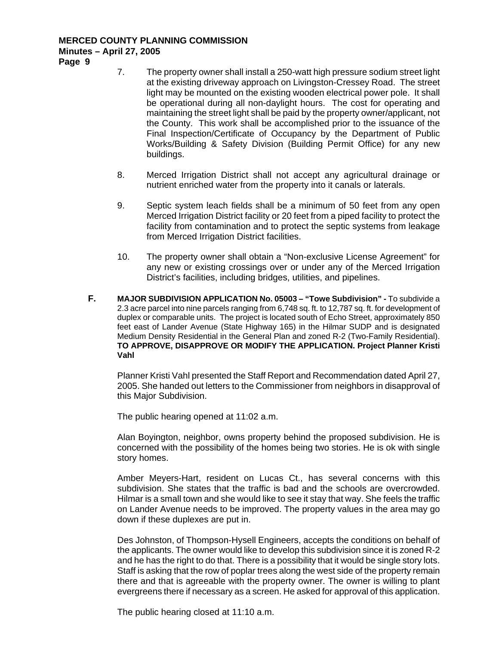**Page 9** 

- 7. The property owner shall install a 250-watt high pressure sodium street light at the existing driveway approach on Livingston-Cressey Road. The street light may be mounted on the existing wooden electrical power pole. It shall be operational during all non-daylight hours. The cost for operating and maintaining the street light shall be paid by the property owner/applicant, not the County. This work shall be accomplished prior to the issuance of the Final Inspection/Certificate of Occupancy by the Department of Public Works/Building & Safety Division (Building Permit Office) for any new buildings.
- 8. Merced Irrigation District shall not accept any agricultural drainage or nutrient enriched water from the property into it canals or laterals.
- 9. Septic system leach fields shall be a minimum of 50 feet from any open Merced Irrigation District facility or 20 feet from a piped facility to protect the facility from contamination and to protect the septic systems from leakage from Merced Irrigation District facilities.
- 10. The property owner shall obtain a "Non-exclusive License Agreement" for any new or existing crossings over or under any of the Merced Irrigation District's facilities, including bridges, utilities, and pipelines.
- **F. MAJOR SUBDIVISION APPLICATION No. 05003 "Towe Subdivision"** To subdivide a 2.3 acre parcel into nine parcels ranging from 6,748 sq. ft. to 12,787 sq. ft. for development of duplex or comparable units. The project is located south of Echo Street, approximately 850 feet east of Lander Avenue (State Highway 165) in the Hilmar SUDP and is designated Medium Density Residential in the General Plan and zoned R-2 (Two-Family Residential). **TO APPROVE, DISAPPROVE OR MODIFY THE APPLICATION. Project Planner Kristi Vahl**

Planner Kristi Vahl presented the Staff Report and Recommendation dated April 27, 2005. She handed out letters to the Commissioner from neighbors in disapproval of this Major Subdivision.

The public hearing opened at 11:02 a.m.

Alan Boyington, neighbor, owns property behind the proposed subdivision. He is concerned with the possibility of the homes being two stories. He is ok with single story homes.

Amber Meyers-Hart, resident on Lucas Ct., has several concerns with this subdivision. She states that the traffic is bad and the schools are overcrowded. Hilmar is a small town and she would like to see it stay that way. She feels the traffic on Lander Avenue needs to be improved. The property values in the area may go down if these duplexes are put in.

Des Johnston, of Thompson-Hysell Engineers, accepts the conditions on behalf of the applicants. The owner would like to develop this subdivision since it is zoned R-2 and he has the right to do that. There is a possibility that it would be single story lots. Staff is asking that the row of poplar trees along the west side of the property remain there and that is agreeable with the property owner. The owner is willing to plant evergreens there if necessary as a screen. He asked for approval of this application.

The public hearing closed at 11:10 a.m.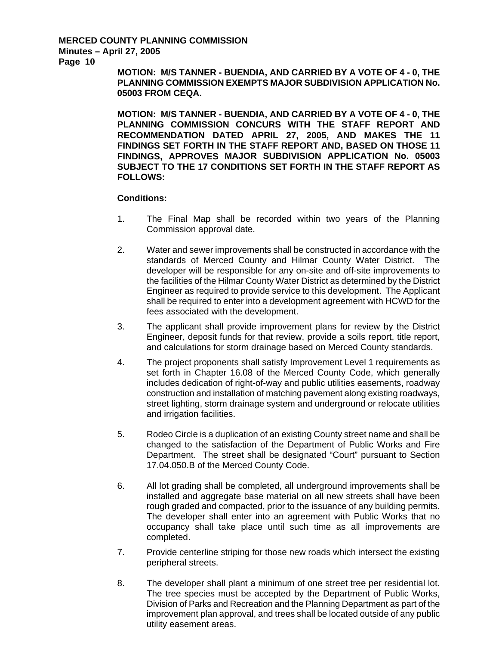**Page 10** 

**MOTION: M/S TANNER - BUENDIA, AND CARRIED BY A VOTE OF 4 - 0, THE PLANNING COMMISSION EXEMPTS MAJOR SUBDIVISION APPLICATION No. 05003 FROM CEQA.** 

**MOTION: M/S TANNER - BUENDIA, AND CARRIED BY A VOTE OF 4 - 0, THE PLANNING COMMISSION CONCURS WITH THE STAFF REPORT AND RECOMMENDATION DATED APRIL 27, 2005, AND MAKES THE 11 FINDINGS SET FORTH IN THE STAFF REPORT AND, BASED ON THOSE 11 FINDINGS, APPROVES MAJOR SUBDIVISION APPLICATION No. 05003 SUBJECT TO THE 17 CONDITIONS SET FORTH IN THE STAFF REPORT AS FOLLOWS:** 

#### **Conditions:**

- 1. The Final Map shall be recorded within two years of the Planning Commission approval date.
- 2. Water and sewer improvements shall be constructed in accordance with the standards of Merced County and Hilmar County Water District. The developer will be responsible for any on-site and off-site improvements to the facilities of the Hilmar County Water District as determined by the District Engineer as required to provide service to this development. The Applicant shall be required to enter into a development agreement with HCWD for the fees associated with the development.
- 3. The applicant shall provide improvement plans for review by the District Engineer, deposit funds for that review, provide a soils report, title report, and calculations for storm drainage based on Merced County standards.
- 4. The project proponents shall satisfy Improvement Level 1 requirements as set forth in Chapter 16.08 of the Merced County Code, which generally includes dedication of right-of-way and public utilities easements, roadway construction and installation of matching pavement along existing roadways, street lighting, storm drainage system and underground or relocate utilities and irrigation facilities.
- 5. Rodeo Circle is a duplication of an existing County street name and shall be changed to the satisfaction of the Department of Public Works and Fire Department. The street shall be designated "Court" pursuant to Section 17.04.050.B of the Merced County Code.
- 6. All lot grading shall be completed, all underground improvements shall be installed and aggregate base material on all new streets shall have been rough graded and compacted, prior to the issuance of any building permits. The developer shall enter into an agreement with Public Works that no occupancy shall take place until such time as all improvements are completed.
- 7. Provide centerline striping for those new roads which intersect the existing peripheral streets.
- 8. The developer shall plant a minimum of one street tree per residential lot. The tree species must be accepted by the Department of Public Works, Division of Parks and Recreation and the Planning Department as part of the improvement plan approval, and trees shall be located outside of any public utility easement areas.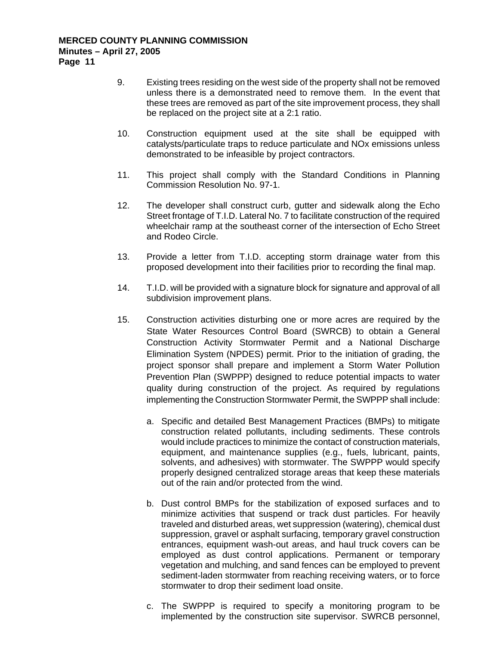- 9. Existing trees residing on the west side of the property shall not be removed unless there is a demonstrated need to remove them. In the event that these trees are removed as part of the site improvement process, they shall be replaced on the project site at a 2:1 ratio.
- 10. Construction equipment used at the site shall be equipped with catalysts/particulate traps to reduce particulate and NOx emissions unless demonstrated to be infeasible by project contractors.
- 11. This project shall comply with the Standard Conditions in Planning Commission Resolution No. 97-1.
- 12. The developer shall construct curb, gutter and sidewalk along the Echo Street frontage of T.I.D. Lateral No. 7 to facilitate construction of the required wheelchair ramp at the southeast corner of the intersection of Echo Street and Rodeo Circle.
- 13. Provide a letter from T.I.D. accepting storm drainage water from this proposed development into their facilities prior to recording the final map.
- 14. T.I.D. will be provided with a signature block for signature and approval of all subdivision improvement plans.
- 15. Construction activities disturbing one or more acres are required by the State Water Resources Control Board (SWRCB) to obtain a General Construction Activity Stormwater Permit and a National Discharge Elimination System (NPDES) permit. Prior to the initiation of grading, the project sponsor shall prepare and implement a Storm Water Pollution Prevention Plan (SWPPP) designed to reduce potential impacts to water quality during construction of the project. As required by regulations implementing the Construction Stormwater Permit, the SWPPP shall include:
	- a. Specific and detailed Best Management Practices (BMPs) to mitigate construction related pollutants, including sediments. These controls would include practices to minimize the contact of construction materials, equipment, and maintenance supplies (e.g., fuels, lubricant, paints, solvents, and adhesives) with stormwater. The SWPPP would specify properly designed centralized storage areas that keep these materials out of the rain and/or protected from the wind.
	- b. Dust control BMPs for the stabilization of exposed surfaces and to minimize activities that suspend or track dust particles. For heavily traveled and disturbed areas, wet suppression (watering), chemical dust suppression, gravel or asphalt surfacing, temporary gravel construction entrances, equipment wash-out areas, and haul truck covers can be employed as dust control applications. Permanent or temporary vegetation and mulching, and sand fences can be employed to prevent sediment-laden stormwater from reaching receiving waters, or to force stormwater to drop their sediment load onsite.
	- c. The SWPPP is required to specify a monitoring program to be implemented by the construction site supervisor. SWRCB personnel,